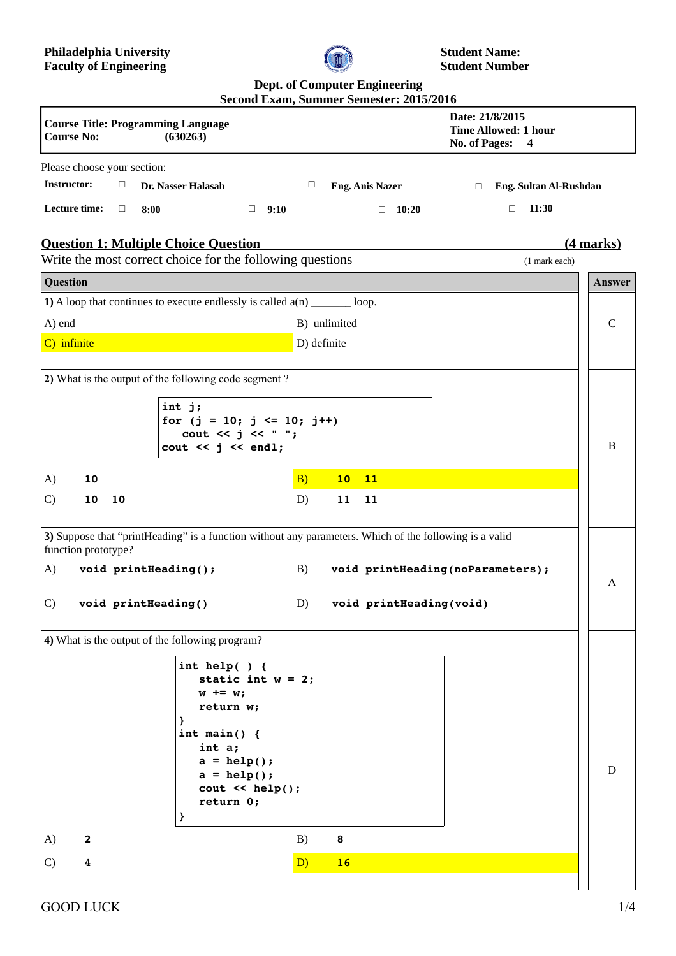

**Student Name: Student Number**

## **Dept. of Computer Engineering**

|                                                                                                                                                                                          | Second Exam, Summer Semester: 2015/2016                                                    |                            |
|------------------------------------------------------------------------------------------------------------------------------------------------------------------------------------------|--------------------------------------------------------------------------------------------|----------------------------|
| <b>Course Title: Programming Language</b><br><b>Course No:</b><br>(630263)                                                                                                               | Date: 21/8/2015<br><b>Time Allowed: 1 hour</b><br>No. of Pages:<br>$\overline{\mathbf{4}}$ |                            |
| Please choose your section:                                                                                                                                                              |                                                                                            |                            |
| <b>Instructor:</b><br>$\Box$<br>Dr. Nasser Halasah                                                                                                                                       | $\Box$<br><b>Eng. Anis Nazer</b><br>$\Box$                                                 | Eng. Sultan Al-Rushdan     |
| Lecture time:<br>$\Box$<br>$\Box$ 9:10<br>8:00                                                                                                                                           | $\Box$<br>10:20<br>$\Box$                                                                  | 11:30                      |
| <b>Question 1: Multiple Choice Question</b><br>Write the most correct choice for the following questions                                                                                 |                                                                                            | (4 marks)<br>(1 mark each) |
| Question                                                                                                                                                                                 |                                                                                            | Answer                     |
| 1) A loop that continues to execute endlessly is called $a(n)$ ________ loop.                                                                                                            |                                                                                            |                            |
| A) end                                                                                                                                                                                   | B) unlimited                                                                               | C                          |
| C) infinite                                                                                                                                                                              | D) definite                                                                                |                            |
|                                                                                                                                                                                          |                                                                                            |                            |
| 2) What is the output of the following code segment?<br>int j;<br>for $(j = 10; j \le 10; j++)$<br>cout $\lt\lt$ j $\lt\lt$ " ";<br>cout $<< j << end1;$                                 |                                                                                            | B                          |
|                                                                                                                                                                                          |                                                                                            |                            |
| A)<br>10                                                                                                                                                                                 | B)<br>10<br>11                                                                             |                            |
| $\mathcal{C}$<br>10<br>10                                                                                                                                                                | D)<br>11<br>11                                                                             |                            |
| 3) Suppose that "printHeading" is a function without any parameters. Which of the following is a valid<br>function prototype?<br>A)<br>void printHeading();                              | B)<br>void printHeading(noParameters);                                                     |                            |
| $\mathcal{C}$<br>void printHeading()                                                                                                                                                     | D) void printHeading(void)                                                                 | A                          |
| 4) What is the output of the following program?                                                                                                                                          |                                                                                            |                            |
| int help( $)$ {<br>static int $w = 2$ ;<br>$w == w;$<br>return w;<br>int main() $\{$<br>int a;<br>$a = help();$<br>$a = help();$<br>$\text{cout} \leq \text{help}()$ ;<br>return 0;<br>} |                                                                                            | D                          |
| A)<br>$\mathbf{2}$                                                                                                                                                                       | B)<br>8                                                                                    |                            |
| $\mathcal{C}$<br>$\overline{\textbf{4}}$                                                                                                                                                 | D)<br>16                                                                                   |                            |
|                                                                                                                                                                                          |                                                                                            |                            |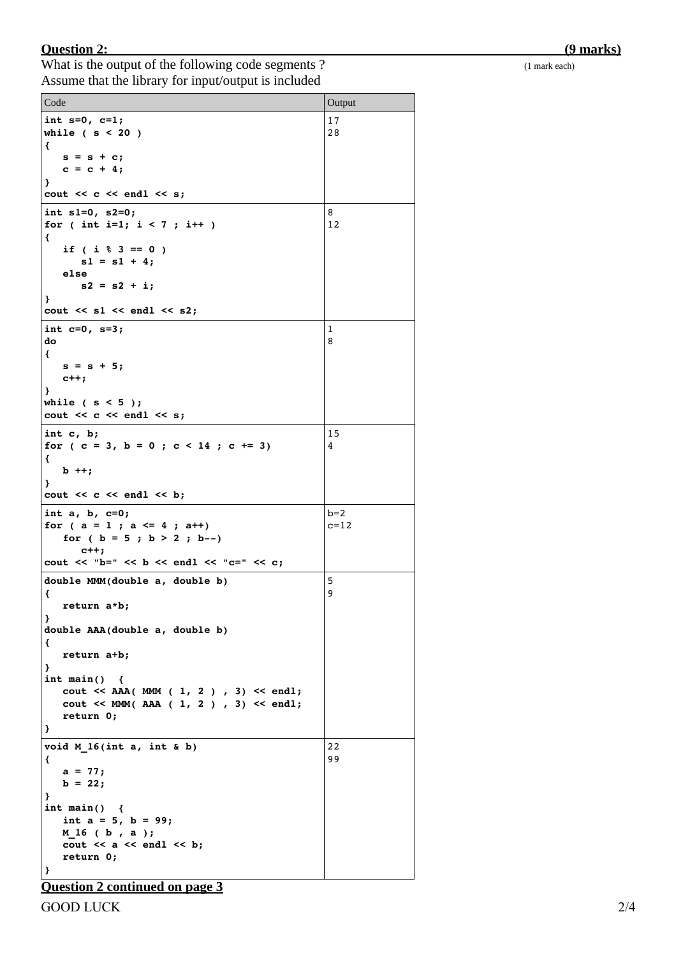## **Question 2: (9 marks)**

What is the output of the following code segments ? (1 mark each) Assume that the library for input/output is included

| Code                                                                                                                                                                                                                                                                                                | Output            |  |
|-----------------------------------------------------------------------------------------------------------------------------------------------------------------------------------------------------------------------------------------------------------------------------------------------------|-------------------|--|
| int $s=0$ , $c=1$ ;<br>while $(s < 20)$<br>€<br>$s = s + c;$<br>$c = c + 4;$<br>Ł<br>$\cot \lt \lt \ c \lt \ \text{endl} \lt \lt \ s$ ;                                                                                                                                                             | 17<br>28          |  |
| int $s1=0$ , $s2=0$ ;<br>for ( int i=1; $i < 7$ ; i++ )<br>€<br>if ( $i \,$ $\frac{6}{3}$ == 0 )<br>$s1 = s1 + 4;$<br>else<br>$s2 = s2 + i;$<br>}<br>$\cot \lt \lt s1 \lt \cdot \text{end1} \lt \lt s2;$                                                                                            | 8<br>12           |  |
| int $c=0$ , $s=3$ ;<br>do<br>€<br>$s = s + 5;$<br>$c++;$<br>ł<br>while $(s < 5)$ ;<br>$\cot \lt \lt \ c \lt \ \text{endl} \lt \lt \ s$ ;                                                                                                                                                            | 1<br>8            |  |
| int $c, b;$<br>for $(c = 3, b = 0; c < 14; c += 3)$<br>€<br>$b + +;$<br>Y<br>$\cot \lt \lt \ c \lt \ end1 \lt \ b$ ;                                                                                                                                                                                | 15<br>4           |  |
| int $a, b, c=0;$<br>for $(a = 1 ; a \le 4 ; a++)$<br>for ( $b = 5$ ; $b > 2$ ; $b--$ )<br>$c++;$<br>cout << "b=" << b << endl << "c=" << c;                                                                                                                                                         | $b=2$<br>$c = 12$ |  |
| 5<br>double MMM(double a, double b)<br>9<br>€<br>return a*b;<br>ł<br>double AAA (double a, double b)<br>€<br>return a+b;<br>ł<br>int $main()$<br>₹<br>$\text{cut} \leq \text{AAA}(\text{MM} (1, 2), 3) \leq \text{end}$ ;<br>$\text{cut} \ll \text{MMM}$ (AAA (1, 2), 3) << endl;<br>return 0;<br>} |                   |  |
| void $M 16(int a, int & b)$<br>₹<br>$a = 77;$<br>$b = 22;$<br>ł<br>int main() $\{$<br>int $a = 5$ , $b = 99$ ;<br>M 16 (b, a);<br>cout $<< a << end1 << b$ ;<br>return 0;<br>ł.                                                                                                                     | 22<br>99          |  |

**Question 2 continued on page 3**

GOOD LUCK 2/4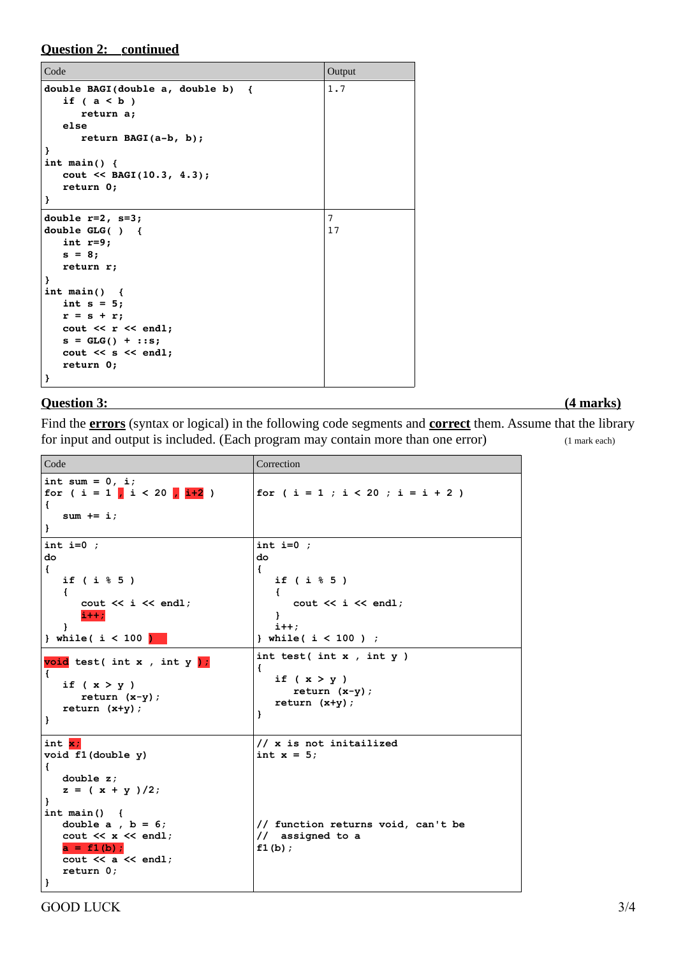**Question 2: continued**

| Code                                                                                                                                                                                                                                                         | Output               |
|--------------------------------------------------------------------------------------------------------------------------------------------------------------------------------------------------------------------------------------------------------------|----------------------|
| double BAGI(double $a$ , double $b$ ) {<br>if $(a < b)$<br>return a;<br>else<br>return BAGI $(a-b, b)$ ;<br>ł<br>int main() $\{$<br>$\text{cout} \leq \text{BAGI}(10.3, 4.3);$<br>return 0;<br>ł                                                             | 1.7                  |
| double $r=2$ , $s=3$ ;<br>double $GLG( )$ {<br>int $r=9;$<br>$s = 8;$<br>return r;<br>ł<br>int main() $\{$<br>int $s = 5$ ;<br>$r = s + r;$<br>$\text{cut} \ll r \ll \text{endl};$<br>$s = GLG() + ::s;$<br>$\text{cut} \ll s \ll \text{end}$ ;<br>return 0; | $\overline{7}$<br>17 |
| }                                                                                                                                                                                                                                                            |                      |

## **Question 3: (4 marks)**

Find the **errors** (syntax or logical) in the following code segments and **correct** them. Assume that the library for input and output is included. (Each program may contain more than one error) (1 mark each)

| Code                                                                                                                                                                                                                                     | Correction                                                                                                                       |
|------------------------------------------------------------------------------------------------------------------------------------------------------------------------------------------------------------------------------------------|----------------------------------------------------------------------------------------------------------------------------------|
| int sum = $0, i$ ;<br>for ( i = 1 <mark>,</mark> i < 20 <mark>, i+2</mark> )<br>€<br>$sum + = i;$<br>}                                                                                                                                   | for ( $i = 1$ ; $i < 20$ ; $i = i + 2$ )                                                                                         |
| int i= $0$ ;<br>do<br>$\left\{ \right.$<br>if $(i \t3 \t5)$<br>$\left\{ \right.$<br>$\text{cout} \ll i \ll \text{endl}$<br>$i++;$<br>Ł<br>$}$ while( i < 100 $\sqrt{ }$                                                                  | int i= $0$ ;<br>do<br>€<br>if $(i \t3 \t5)$<br>€<br>$\text{cut} \ll i \ll \text{end}$ :<br>Ł<br>$i++;$<br>} while( $i < 100$ ) ; |
| void test(int x, int y);<br>€<br>if $(x > y)$<br>return $(x-y)$ ;<br>return $(x+y)$ ;<br>}                                                                                                                                               | int test(int $x$ , int $y$ )<br>€<br>if $(x > y)$<br>return $(x-y)$ ;<br>$return (x+y);$<br>}                                    |
| int $\overline{x}$ ;<br>void f1(double y)<br>€<br>double $z$ ;<br>$z = (x + y)/2;$<br>Ł<br>$int \text{ main}()$ {<br>double $a$ , $b = 6$ ;<br>cout $\lt\lt x \lt\lt$ endl;<br>$a = f1(b)$ ;<br>cout $<<$ a $<<$ endl;<br>return 0;<br>} | // x is not initailized<br>int $x = 5$ ;<br>// function returns void, can't be<br>// assigned to a<br>f1(b);                     |

GOOD LUCK 3/4